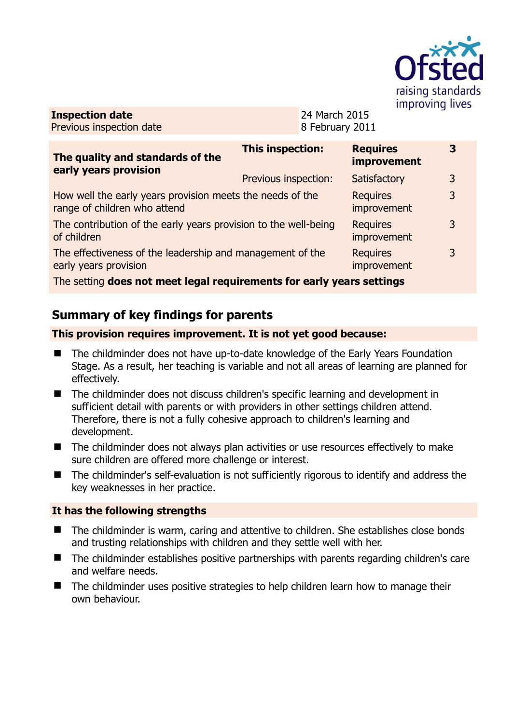

**Inspection date** Previous inspection date 24 March 2015 8 February 2011

| The quality and standards of the<br>early years provision                                                       | <b>This inspection:</b> | <b>Requires</b><br>improvement | 3 |
|-----------------------------------------------------------------------------------------------------------------|-------------------------|--------------------------------|---|
|                                                                                                                 | Previous inspection:    | Satisfactory                   | 3 |
| How well the early years provision meets the needs of the<br>range of children who attend                       |                         | <b>Requires</b><br>improvement | 3 |
| The contribution of the early years provision to the well-being<br>of children                                  |                         | <b>Requires</b><br>improvement | 3 |
| The effectiveness of the leadership and management of the<br>early years provision                              |                         | <b>Requires</b><br>improvement | 3 |
| the contract of the contract of the contract of the contract of the contract of the contract of the contract of |                         |                                |   |

The setting **does not meet legal requirements for early years settings**

# **Summary of key findings for parents**

### **This provision requires improvement. It is not yet good because:**

- The childminder does not have up-to-date knowledge of the Early Years Foundation Stage. As a result, her teaching is variable and not all areas of learning are planned for effectively.
- The childminder does not discuss children's specific learning and development in sufficient detail with parents or with providers in other settings children attend. Therefore, there is not a fully cohesive approach to children's learning and development.
- The childminder does not always plan activities or use resources effectively to make sure children are offered more challenge or interest.
- The childminder's self-evaluation is not sufficiently rigorous to identify and address the key weaknesses in her practice.

### **It has the following strengths**

- The childminder is warm, caring and attentive to children. She establishes close bonds and trusting relationships with children and they settle well with her.
- The childminder establishes positive partnerships with parents regarding children's care and welfare needs.
- The childminder uses positive strategies to help children learn how to manage their own behaviour.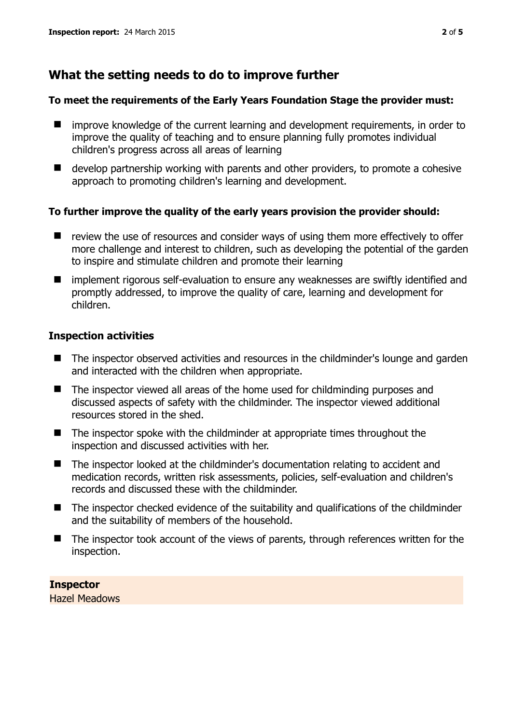## **What the setting needs to do to improve further**

#### **To meet the requirements of the Early Years Foundation Stage the provider must:**

- improve knowledge of the current learning and development requirements, in order to improve the quality of teaching and to ensure planning fully promotes individual children's progress across all areas of learning
- $\blacksquare$  develop partnership working with parents and other providers, to promote a cohesive approach to promoting children's learning and development.

#### **To further improve the quality of the early years provision the provider should:**

- $\blacksquare$  review the use of resources and consider ways of using them more effectively to offer more challenge and interest to children, such as developing the potential of the garden to inspire and stimulate children and promote their learning
- implement rigorous self-evaluation to ensure any weaknesses are swiftly identified and promptly addressed, to improve the quality of care, learning and development for children.

#### **Inspection activities**

- The inspector observed activities and resources in the childminder's lounge and garden and interacted with the children when appropriate.
- The inspector viewed all areas of the home used for childminding purposes and discussed aspects of safety with the childminder. The inspector viewed additional resources stored in the shed.
- The inspector spoke with the childminder at appropriate times throughout the inspection and discussed activities with her.
- The inspector looked at the childminder's documentation relating to accident and medication records, written risk assessments, policies, self-evaluation and children's records and discussed these with the childminder.
- The inspector checked evidence of the suitability and qualifications of the childminder and the suitability of members of the household.
- The inspector took account of the views of parents, through references written for the inspection.

**Inspector**  Hazel Meadows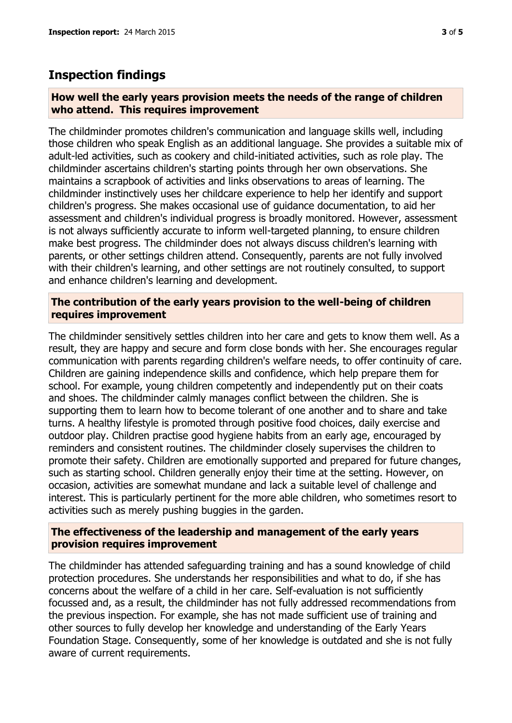### **Inspection findings**

#### **How well the early years provision meets the needs of the range of children who attend. This requires improvement**

The childminder promotes children's communication and language skills well, including those children who speak English as an additional language. She provides a suitable mix of adult-led activities, such as cookery and child-initiated activities, such as role play. The childminder ascertains children's starting points through her own observations. She maintains a scrapbook of activities and links observations to areas of learning. The childminder instinctively uses her childcare experience to help her identify and support children's progress. She makes occasional use of guidance documentation, to aid her assessment and children's individual progress is broadly monitored. However, assessment is not always sufficiently accurate to inform well-targeted planning, to ensure children make best progress. The childminder does not always discuss children's learning with parents, or other settings children attend. Consequently, parents are not fully involved with their children's learning, and other settings are not routinely consulted, to support and enhance children's learning and development.

#### **The contribution of the early years provision to the well-being of children requires improvement**

The childminder sensitively settles children into her care and gets to know them well. As a result, they are happy and secure and form close bonds with her. She encourages regular communication with parents regarding children's welfare needs, to offer continuity of care. Children are gaining independence skills and confidence, which help prepare them for school. For example, young children competently and independently put on their coats and shoes. The childminder calmly manages conflict between the children. She is supporting them to learn how to become tolerant of one another and to share and take turns. A healthy lifestyle is promoted through positive food choices, daily exercise and outdoor play. Children practise good hygiene habits from an early age, encouraged by reminders and consistent routines. The childminder closely supervises the children to promote their safety. Children are emotionally supported and prepared for future changes, such as starting school. Children generally enjoy their time at the setting. However, on occasion, activities are somewhat mundane and lack a suitable level of challenge and interest. This is particularly pertinent for the more able children, who sometimes resort to activities such as merely pushing buggies in the garden.

#### **The effectiveness of the leadership and management of the early years provision requires improvement**

The childminder has attended safeguarding training and has a sound knowledge of child protection procedures. She understands her responsibilities and what to do, if she has concerns about the welfare of a child in her care. Self-evaluation is not sufficiently focussed and, as a result, the childminder has not fully addressed recommendations from the previous inspection. For example, she has not made sufficient use of training and other sources to fully develop her knowledge and understanding of the Early Years Foundation Stage. Consequently, some of her knowledge is outdated and she is not fully aware of current requirements.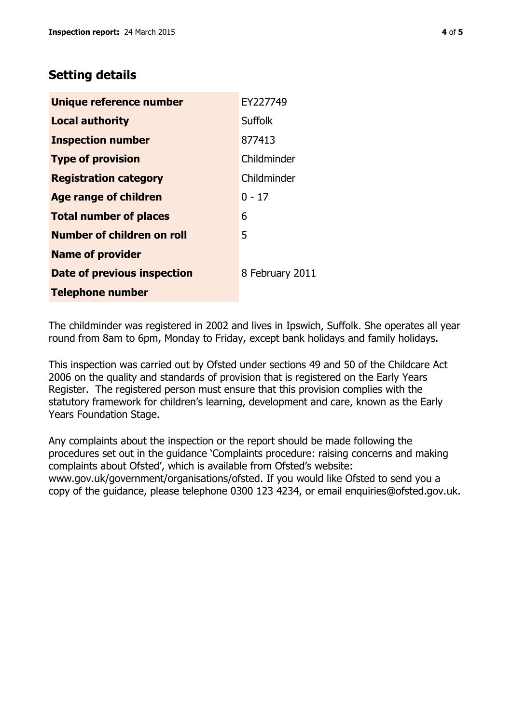## **Setting details**

| Unique reference number       | EY227749        |
|-------------------------------|-----------------|
| <b>Local authority</b>        | <b>Suffolk</b>  |
| <b>Inspection number</b>      | 877413          |
| <b>Type of provision</b>      | Childminder     |
| <b>Registration category</b>  | Childminder     |
| <b>Age range of children</b>  | $0 - 17$        |
| <b>Total number of places</b> | 6               |
| Number of children on roll    | 5               |
| <b>Name of provider</b>       |                 |
| Date of previous inspection   | 8 February 2011 |
| <b>Telephone number</b>       |                 |

The childminder was registered in 2002 and lives in Ipswich, Suffolk. She operates all year round from 8am to 6pm, Monday to Friday, except bank holidays and family holidays.

This inspection was carried out by Ofsted under sections 49 and 50 of the Childcare Act 2006 on the quality and standards of provision that is registered on the Early Years Register. The registered person must ensure that this provision complies with the statutory framework for children's learning, development and care, known as the Early Years Foundation Stage.

Any complaints about the inspection or the report should be made following the procedures set out in the guidance 'Complaints procedure: raising concerns and making complaints about Ofsted', which is available from Ofsted's website: www.gov.uk/government/organisations/ofsted. If you would like Ofsted to send you a copy of the guidance, please telephone 0300 123 4234, or email enquiries@ofsted.gov.uk.